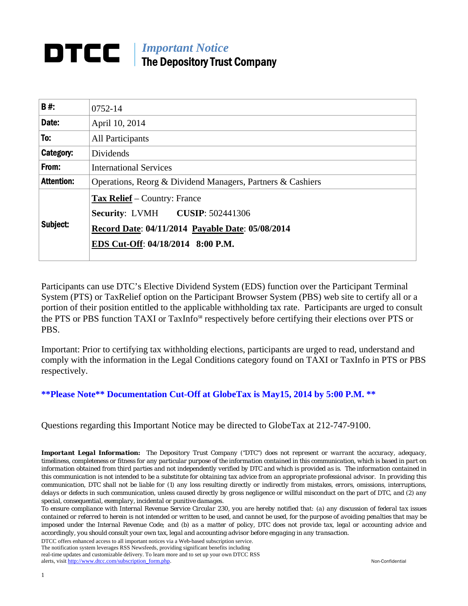### *Important Notice*  DTCC I The Depository Trust Company

| B#:               | 0752-14                                                                                                                                                         |  |
|-------------------|-----------------------------------------------------------------------------------------------------------------------------------------------------------------|--|
| Date:             | April 10, 2014                                                                                                                                                  |  |
| To:               | <b>All Participants</b>                                                                                                                                         |  |
| Category:         | <b>Dividends</b>                                                                                                                                                |  |
| From:             | <b>International Services</b>                                                                                                                                   |  |
| <b>Attention:</b> | Operations, Reorg & Dividend Managers, Partners & Cashiers                                                                                                      |  |
| Subject:          | <b>Tax Relief</b> – Country: France<br>Security: LVMH CUSIP: 502441306<br>Record Date: 04/11/2014 Payable Date: 05/08/2014<br>EDS Cut-Off: 04/18/2014 8:00 P.M. |  |

Participants can use DTC's Elective Dividend System (EDS) function over the Participant Terminal System (PTS) or TaxRelief option on the Participant Browser System (PBS) web site to certify all or a portion of their position entitled to the applicable withholding tax rate. Participants are urged to consult the PTS or PBS function TAXI or TaxInfo℠ respectively before certifying their elections over PTS or PBS.

Important: Prior to certifying tax withholding elections, participants are urged to read, understand and comply with the information in the Legal Conditions category found on TAXI or TaxInfo in PTS or PBS respectively.

### **\*\*Please Note\*\* Documentation Cut-Off at GlobeTax is May 15, 2014 by 5:00 P.M. \*\***

Questions regarding this Important Notice may be directed to GlobeTax at 212-747-9100.

*Important Legal Information: The Depository Trust Company ("DTC") does not represent or warrant the accuracy, adequacy, timeliness, completeness or fitness for any particular purpose of the information contained in this communication, which is based in part on information obtained from third parties and not independently verified by DTC and which is provided as is. The information contained in this communication is not intended to be a substitute for obtaining tax advice from an appropriate professional advisor. In providing this communication, DTC shall not be liable for (1) any loss resulting directly or indirectly from mistakes, errors, omissions, interruptions, delays or defects in such communication, unless caused directly by gross negligence or willful misconduct on the part of DTC, and (2) any special, consequential, exemplary, incidental or punitive damages.* 

*To ensure compliance with Internal Revenue Service Circular 230, you are hereby notified that: (a) any discussion of federal tax issues contained or referred to herein is not intended or written to be used, and cannot be used, for the purpose of avoiding penalties that may be imposed under the Internal Revenue Code; and (b) as a matter of policy, DTC does not provide tax, legal or accounting advice and accordingly, you should consult your own tax, legal and accounting advisor before engaging in any transaction.*

DTCC offers enhanced access to all important notices via a Web-based subscription service.

The notification system leverages RSS Newsfeeds, providing significant benefits including real-time updates and customizable delivery. To learn more and to set up your own DTCC RSS alerts, visit http://www.dtcc.com/subscription\_form.php. Non-Confidential